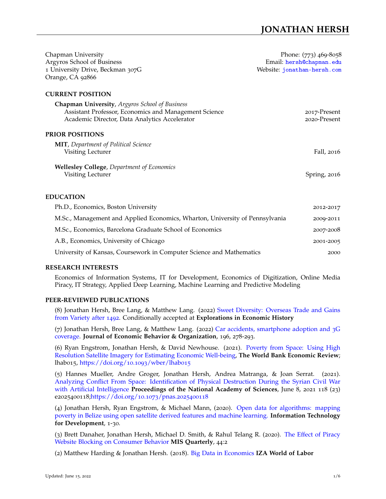| Chapman University                                                           | Phone: (773) 469-8058                                   |
|------------------------------------------------------------------------------|---------------------------------------------------------|
| Argyros School of Business<br>1 University Drive, Beckman 307G               | Email: hersh@chapman.edu<br>Website: jonathan-hersh.com |
| Orange, CA 92866                                                             |                                                         |
| <b>CURRENT POSITION</b>                                                      |                                                         |
| <b>Chapman University</b> , Argyros School of Business                       |                                                         |
| Assistant Professor, Economics and Management Science                        | 2017-Present                                            |
| Academic Director, Data Analytics Accelerator                                | 2020-Present                                            |
| <b>PRIOR POSITIONS</b>                                                       |                                                         |
| <b>MIT</b> , Department of Political Science                                 |                                                         |
| Visiting Lecturer                                                            | Fall, 2016                                              |
| <b>Wellesley College</b> , Department of Economics                           |                                                         |
| Visiting Lecturer                                                            | Spring, 2016                                            |
|                                                                              |                                                         |
| <b>EDUCATION</b>                                                             |                                                         |
| Ph.D., Economics, Boston University                                          | 2012-2017                                               |
| M.Sc., Management and Applied Economics, Wharton, University of Pennsylvania | 2009-2011                                               |
| M.Sc., Economics, Barcelona Graduate School of Economics                     | 2007-2008                                               |
| A.B., Economics, University of Chicago                                       | 2001-2005                                               |
| University of Kansas, Coursework in Computer Science and Mathematics         | 2000                                                    |

# **RESEARCH INTERESTS**

Economics of Information Systems, IT for Development, Economics of Digitization, Online Media Piracy, IT Strategy, Applied Deep Learning, Machine Learning and Predictive Modeling

# **PEER-REVIEWED PUBLICATIONS**

(8) Jonathan Hersh, Bree Lang, & Matthew Lang. (2022) [Sweet Diversity: Overseas Trade and Gains](https://ideas.repec.org/p/upf/upfgen/1163.html) [from Variety after](https://ideas.repec.org/p/upf/upfgen/1163.html) 1492. Conditionally accepted at **Explorations in Economic History**

(7) Jonathan Hersh, Bree Lang, & Matthew Lang. (2022) [Car accidents, smartphone adoption and](https://www.sciencedirect.com/science/article/abs/pii/S0167268122000464) 3G [coverage.](https://www.sciencedirect.com/science/article/abs/pii/S0167268122000464) **Journal of Economic Behavior & Organization**, 196, 278-293.

(6) Ryan Engstrom, Jonathan Hersh, & David Newhouse. (2021). [Poverty from Space: Using High](https://doi.org/10.1093/wber/lhab015) [Resolution Satellite Imagery for Estimating Economic Well-being,](https://doi.org/10.1093/wber/lhab015) **The World Bank Economic Review**; lhab015, [https://doi.org/](https://doi.org/10.1093/wber/lhab015)10.1093/wber/lhab015

(5) Hannes Mueller, Andre Groger, Jonathan Hersh, Andrea Matranga, & Joan Serrat. (2021). [Analyzing Conflict From Space: Identification of Physical Destruction During the Syrian Civil War](https://www.pnas.org/content/118/23/e2025400118) [with Artificial Intelligence](https://www.pnas.org/content/118/23/e2025400118) **Proceedings of the National Academy of Sciences**, June 8, 2021 118 (23) e2025400118[;https://doi.org/](https://doi.org/10.1073/pnas.2025400118)10.1073/pnas.2025400118

(4) Jonathan Hersh, Ryan Engstrom, & Michael Mann, (2020). [Open data for algorithms: mapping](https://www.tandfonline.com/doi/abs/10.1080/02681102.2020.1811945) [poverty in Belize using open satellite derived features and machine learning.](https://www.tandfonline.com/doi/abs/10.1080/02681102.2020.1811945) **Information Technology for Development**, 1-30.

(3) Brett Danaher, Jonathan Hersh, Michael D. Smith, & Rahul Telang R. (2020). [The Effect of Piracy](https://misq.org/the-effect-of-piracy-website-blocking-on-consumer-behavior.html) [Website Blocking on Consumer Behavior](https://misq.org/the-effect-of-piracy-website-blocking-on-consumer-behavior.html) **MIS Quarterly**, 44:2

(2) Matthew Harding & Jonathan Hersh. (2018). [Big Data in Economics](https://wol.iza.org/articles/big-data-in-economics) **IZA World of Labor**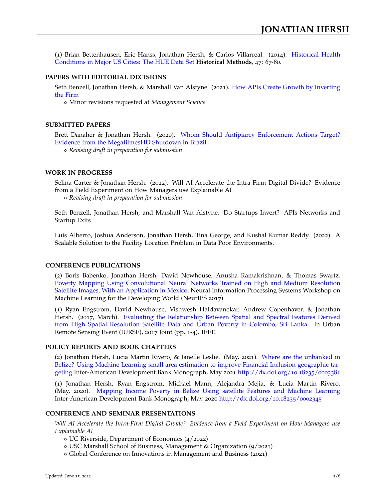(1) Brian Bettenhausen, Eric Hanss, Jonathan Hersh, & Carlos Villarreal. (2014). [Historical Health](http://www.tandfonline.com/doi/abs/10.1080/01615440.2013.874005) [Conditions in Major US Cities: The HUE Data Set](http://www.tandfonline.com/doi/abs/10.1080/01615440.2013.874005) **Historical Methods**, 47: 67-80.

## **PAPERS WITH EDITORIAL DECISIONS**

Seth Benzell, Jonathan Hersh, & Marshall Van Alstyne. (2021). [How APIs Create Growth by Inverting](https://papers.ssrn.com/sol3/papers.cfm?abstract_id=3432591) [the Firm](https://papers.ssrn.com/sol3/papers.cfm?abstract_id=3432591)

Minor revisions requested at *Management Science*

## **SUBMITTED PAPERS**

Brett Danaher & Jonathan Hersh. (2020). [Whom Should Antipiarcy Enforcement Actions Target?](https://www.dropbox.com/s/vtpajpuxc8lvrgy/megafilmes%20shutdown-2020-08-26.pdf?dl=0) [Evidence from the MegafilmesHD Shutdown in Brazil](https://www.dropbox.com/s/vtpajpuxc8lvrgy/megafilmes%20shutdown-2020-08-26.pdf?dl=0) *Revising draft in preparation for submission*

## **WORK IN PROGRESS**

Selina Carter & Jonathan Hersh. (2022). Will AI Accelerate the Intra-Firm Digital Divide? Evidence from a Field Experiment on How Managers use Explainable AI *Revising draft in preparation for submission*

Seth Benzell, Jonathan Hersh, and Marshall Van Alstyne. Do Startups Invert? APIs Networks and Startup Exits

Luis Alberro, Joshua Anderson, Jonathan Hersh, Tina George, and Kushal Kumar Reddy. (2022). A Scalable Solution to the Facility Location Problem in Data Poor Environments.

## **CONFERENCE PUBLICATIONS**

(2) Boris Babenko, Jonathan Hersh, David Newhouse, Anusha Ramakrishnan, & Thomas Swartz. [Poverty Mapping Using Convolutional Neural Networks Trained on High and Medium Resolution](https://arxiv.org/abs/1711.06323) [Satellite Images, With an Application in Mexico,](https://arxiv.org/abs/1711.06323) Neural Information Processing Systems Workshop on Machine Learning for the Developing World (NeurIPS 2017)

(1) Ryan Engstrom, David Newhouse, Vishwesh Haldavanekar, Andrew Copenhaver, & Jonathan Hersh. (2017, March). [Evaluating the Relationship Between Spatial and Spectral Features Derived](https://ieeexplore.ieee.org/abstract/document/7924590/?reload=true) [from High Spatial Resolution Satellite Data and Urban Poverty in Colombo, Sri Lanka.](https://ieeexplore.ieee.org/abstract/document/7924590/?reload=true) In Urban Remote Sensing Event (JURSE), 2017 Joint (pp. 1-4). IEEE.

## **POLICY REPORTS AND BOOK CHAPTERS**

(2) Jonathan Hersh, Lucia Martin Rivero, & Janelle Leslie. (May, 2021). [Where are the unbanked in](http://dx.doi.org/10.18235/0003381) [Belize? Using Machine Learning small area estimation to improve Financial Inclusion geographic tar](http://dx.doi.org/10.18235/0003381)[geting](http://dx.doi.org/10.18235/0003381) Inter-American Development Bank Monograph, May 2021 [http://dx.doi.org/](http://dx.doi.org/10.18235/0003381)10.18235/0003381

(1) Jonathan Hersh, Ryan Engstrom, Michael Mann, Alejandra Mejia, & Lucia Martin Rivero. (May, 2020). [Mapping Income Poverty in Belize Using satellite Features and Machine Learning](http://dx.doi.org/10.18235/0002345) Inter-American Development Bank Monograph, May 2020 [http://dx.doi.org/](http://dx.doi.org/10.18235/0002345)10.18235/0002345

## **CONFERENCE AND SEMINAR PRESENTATIONS**

*Will AI Accelerate the Intra-Firm Digital Divide? Evidence from a Field Experiment on How Managers use Explainable AI*

- UC Riverside, Department of Economics (4/2022)
- USC Marshall School of Business, Management & Organization (9/2021)
- Global Conference on Innovations in Management and Business (2021)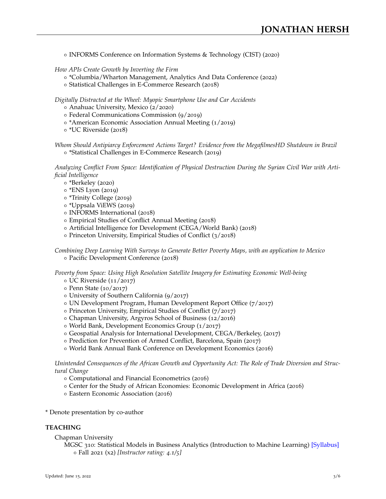INFORMS Conference on Information Systems & Technology (CIST) (2020)

*How APIs Create Growth by Inverting the Firm*

- \*Columbia/Wharton Management, Analytics And Data Conference (2022)
- Statistical Challenges in E-Commerce Research (2018)

*Digitally Distracted at the Wheel: Myopic Smartphone Use and Car Accidents*

- Anahuac University, Mexico (2/2020)
- Federal Communications Commission (9/2019)
- \*American Economic Association Annual Meeting (1/2019)
- \*UC Riverside (2018)

*Whom Should Antipiarcy Enforcement Actions Target? Evidence from the MegafilmesHD Shutdown in Brazil* \*Statistical Challenges in E-Commerce Research (2019)

*Analyzing Conflict From Space: Identification of Physical Destruction During the Syrian Civil War with Artificial Intelligence*

- \*Berkeley (2020)
- o \*ENS Lyon (2019)
- \*Trinity College (2019)
- \*Uppsala ViEWS (2019)
- o INFORMS International (2018)
- Empirical Studies of Conflict Annual Meeting (2018)
- Artificial Intelligence for Development (CEGA/World Bank) (2018)
- Princeton University, Empirical Studies of Conflict (3/2018)

*Combining Deep Learning With Surveys to Generate Better Poverty Maps, with an application to Mexico* o Pacific Development Conference (2018)

*Poverty from Space: Using High Resolution Satellite Imagery for Estimating Economic Well-being*

- $\circ$  UC Riverside (11/2017)
- Penn State (10/2017)
- University of Southern California (9/2017)
- UN Development Program, Human Development Report Office (7/2017)
- o Princeton University, Empirical Studies of Conflict (7/2017)
- Chapman University, Argyros School of Business (12/2016)
- World Bank, Development Economics Group (1/2017)
- Geospatial Analysis for International Development, CEGA/Berkeley, (2017)
- o Prediction for Prevention of Armed Conflict, Barcelona, Spain (2017)
- World Bank Annual Bank Conference on Development Economics (2016)

*Unintended Consequences of the African Growth and Opportunity Act: The Role of Trade Diversion and Structural Change*

- Computational and Financial Econometrics (2016)
- Center for the Study of African Economies: Economic Development in Africa (2016)
- Eastern Economic Association (2016)
- \* Denote presentation by co-author

## **TEACHING**

- Chapman University
	- MGSC 310: Statistical Models in Business Analytics (Introduction to Machine Learning) [\[Syllabus\]](https://www.dropbox.com/s/6jz3zx4xf4wo9u0/Syllabus%20for%20FA21S%20MGSC-310-01.pdf?dl=0) Fall 2021 (x2) *[Instructor rating: 4.1/5]*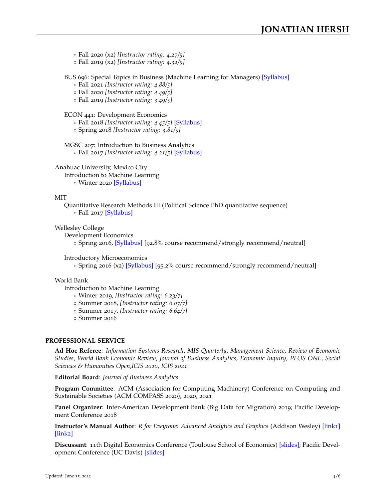Fall 2020 (x2) *[Instructor rating: 4.27/5]*

Fall 2019 (x2) *[Instructor rating: 4.32/5]*

BUS 696: Special Topics in Business (Machine Learning for Managers) [\[Syllabus\]](http://jonathan-hersh.com/wp-content/uploads/2020/09/Syllabus-for-BUS-696-01.pdf)

Fall 2021 *[Instructor rating: 4.88/5]*

Fall 2020 *[Instructor rating: 4.49/5]*

Fall 2019 *[Instructor rating: 3.49/5]*

ECON 441: Development Economics

Fall 2018 *[Instructor rating: 4.45/5]* [\[Syllabus\]](https://www.dropbox.com/s/ibzw0uoler38ov5/ECON441_syllabus_v3.pdf?dl=0)

Spring 2018 *[Instructor rating: 3.81/5]*

MGSC 207: Introduction to Business Analytics Fall 2017 *[Instructor rating: 4.21/5]* [\[Syllabus\]](https://www.dropbox.com/s/452l7ebtc7eeq8w/MGSC207_syllabus.pdf?dl=0)

Anahuac University, Mexico City

Introduction to Machine Learning

o Winter 2020 [\[Syllabus\]](https://jonathan-hersh.com/anahuac)

# MIT

Quantitative Research Methods III (Political Science PhD quantitative sequence) o Fall 2017 [\[Syllabus\]](https://www.dropbox.com/s/rmjs6mpyk6y8554/17-804-Syllabus-Fall2016.pdf?dl=0)

Wellesley College

Development Economics

o Spring 2016, [\[Syllabus\]](https://www.dropbox.com/s/jzry5v8t3jmpxpg/Econ101_S16_Syllabus.pdf?dl=0) [92.8% course recommend/strongly recommend/neutral]

Introductory Microeconomics

Spring 2016 (x2) [\[Syllabus\]](https://www.dropbox.com/s/xb0o4mt4zs6kbnc/Econ220_S16_Syllabus.pdf?dl=0) [95.2% course recommend/strongly recommend/neutral]

# World Bank

Introduction to Machine Learning

Winter 2019, *[Instructor rating: 6.23/7]*

Summer 2018, *[Instructor rating: 6.07/7]*

Summer 2017, *[Instructor rating: 6.64/7]*

Summer 2016

# **PROFESSIONAL SERVICE**

**Ad Hoc Referee**: *Information Systems Research*, *MIS Quarterly*, *Management Science*, *Review of Economic Studies*, *World Bank Economic Review*, *Journal of Business Analytics*, *Economic Inquiry*, *PLOS ONE*, *Social Sciences & Humanities Open*,*ICIS 2020*, *ICIS 2021*

**Editorial Board**: *Journal of Business Analytics*

**Program Committee**: ACM (Association for Computing Machinery) Conference on Computing and Sustainable Societies (ACM COMPASS 2020), 2020, 2021

**Panel Organizer**: Inter-American Development Bank (Big Data for Migration) 2019; Pacific Development Conference 2018

**Instructor's Manual Author**: *R for Eveyrone: Advanced Analytics and Graphics* (Addison Wesley) [\[link](https://www.pearson.com/us/higher-education/product/Lander-R-for-Everyone-Instructor-Manual-Advanced-Analytics-and-Graphics/9780134807508.html)1] [\[link](https://www.dropbox.com/s/sppa4r0n73l8zns/REveryone_Exercises.pdf?dl=0)2]

**Discussant**: 11th Digital Economics Conference (Toulouse School of Economics) [\[slides\];](https://www.dropbox.com/s/9symzy3yy16buk6/Chen_Discussion_JHersh.pdf?dl=0) Pacific Development Conference (UC Davis) [\[slides\]](https://www.dropbox.com/s/mwqstc5ufpzprfq/Heilman_Discussion_JHersh.pdf?dl=0)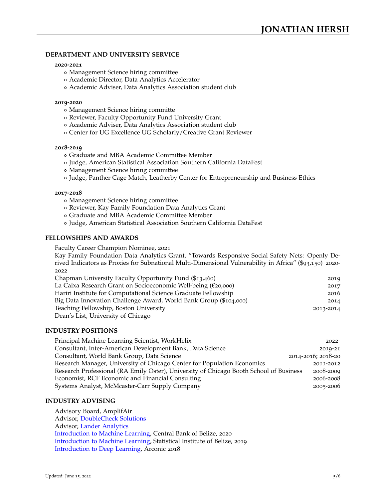## **DEPARTMENT AND UNIVERSITY SERVICE**

### **2020-2021**

- Management Science hiring committee
- Academic Director, Data Analytics Accelerator
- Academic Adviser, Data Analytics Association student club

## **2019-2020**

- Management Science hiring committe
- Reviewer, Faculty Opportunity Fund University Grant
- Academic Adviser, Data Analytics Association student club
- Center for UG Excellence UG Scholarly/Creative Grant Reviewer

#### **2018-2019**

- Graduate and MBA Academic Committee Member
- Judge, American Statistical Association Southern California DataFest
- Management Science hiring committee
- Judge, Panther Cage Match, Leatherby Center for Entrepreneurship and Business Ethics

#### **2017-2018**

- Management Science hiring committee
- Reviewer, Kay Family Foundation Data Analytics Grant
- Graduate and MBA Academic Committee Member
- Judge, American Statistical Association Southern California DataFest

## **FELLOWSHIPS AND AWARDS**

Faculty Career Champion Nominee, 2021

Kay Family Foundation Data Analytics Grant, "Towards Responsive Social Safety Nets: Openly Derived Indicators as Proxies for Subnational Multi-Dimensional Vulnerability in Africa" (\$93,150) 2020- 2022

| Chapman University Faculty Opportunity Fund (\$13,460)            | 2019      |
|-------------------------------------------------------------------|-----------|
| La Caixa Research Grant on Socioeconomic Well-being (€20,000)     | 2017      |
| Hariri Institute for Computational Science Graduate Fellowship    | 2016      |
| Big Data Innovation Challenge Award, World Bank Group (\$104,000) | 2014      |
| Teaching Fellowship, Boston University                            | 2013-2014 |
| Dean's List, University of Chicago                                |           |

## **INDUSTRY POSITIONS**

| Principal Machine Learning Scientist, WorkHelix                                        | $2022 -$           |
|----------------------------------------------------------------------------------------|--------------------|
| Consultant, Inter-American Development Bank, Data Science                              | 2019-21            |
| Consultant, World Bank Group, Data Science                                             | 2014-2016; 2018-20 |
| Research Manager, University of Chicago Center for Population Economics                | 2011-2012          |
| Research Professional (RA Emily Oster), University of Chicago Booth School of Business | 2008-2009          |
| Economist, RCF Economic and Financial Consulting                                       | 2006-2008          |
| Systems Analyst, McMcaster-Carr Supply Company                                         | 2005-2006          |

## **INDUSTRY ADVISING**

Advisory Board, AmplifAir Advisor, [DoubleCheck Solutions](http://mydoublecheck.com/) Advisor, [Lander Analytics](https://www.landeranalytics.com/) [Introduction to Machine Learning,](http://jonathan-hersh.com/belize/) Central Bank of Belize, 2020 [Introduction to Machine Learning,](http://jonathan-hersh.com/belize/) Statistical Institute of Belize, 2019 [Introduction to Deep Learning,](https://www.dropbox.com/s/vyudkonuage2f47/DeepLearning_4DayCourse.pdf?dl=0) Arconic 2018